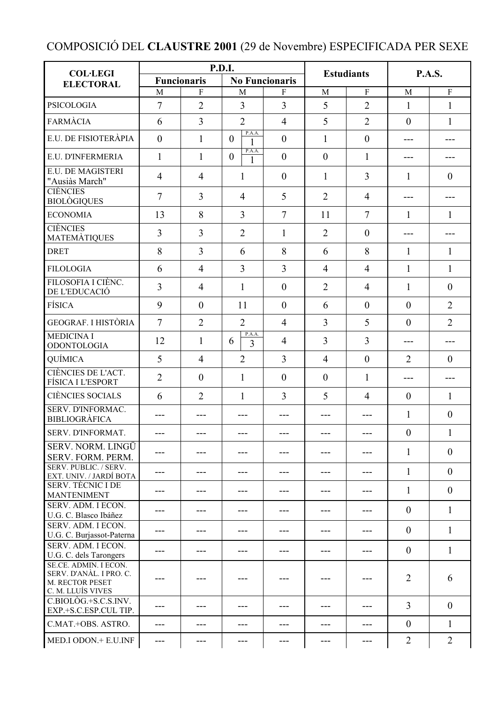## COMPOSICIÓ DEL **CLAUSTRE 2001** (29 de Novembre) ESPECIFICADA PER SEXE

| <b>COL·LEGI</b>                                                                          | P.D.I.             |                |                                         |                |                   |                  | <b>P.A.S.</b>    |                |
|------------------------------------------------------------------------------------------|--------------------|----------------|-----------------------------------------|----------------|-------------------|------------------|------------------|----------------|
| <b>ELECTORAL</b>                                                                         | <b>Funcionaris</b> |                | <b>No Funcionaris</b>                   |                | <b>Estudiants</b> |                  |                  |                |
|                                                                                          | M                  | $\mathbf{F}$   | M                                       | F              | M                 | $\mathbf{F}$     | M                | $\overline{F}$ |
| <b>PSICOLOGIA</b>                                                                        | 7                  | $\overline{2}$ | $\overline{3}$                          | 3              | 5                 | $\overline{2}$   | $\mathbf{1}$     | $\mathbf{1}$   |
| <b>FARMÀCIA</b>                                                                          | 6                  | 3              | $\overline{2}$                          | $\overline{4}$ | 5                 | $\overline{2}$   | $\overline{0}$   | 1              |
| E.U. DE FISIOTERÀPIA                                                                     | $\overline{0}$     | $\mathbf{1}$   | P.A.A.<br>$\theta$<br>1                 | $\mathbf{0}$   | $\mathbf{1}$      | $\boldsymbol{0}$ | ---              |                |
| E.U. D'INFERMERIA                                                                        | 1                  | 1              | P.A.A.<br>$\overline{0}$<br>1           | $\theta$       | $\overline{0}$    | $\mathbf{1}$     | ---              |                |
| <b>E.U. DE MAGISTERI</b><br>"Ausiàs March"                                               | $\overline{4}$     | $\overline{4}$ | 1                                       | $\overline{0}$ | 1                 | 3                | $\mathbf{1}$     | $\theta$       |
| <b>CIÈNCIES</b><br><b>BIOLÒGIQUES</b>                                                    | 7                  | $\overline{3}$ | $\overline{4}$                          | 5              | $\overline{2}$    | $\overline{4}$   | ---              |                |
| <b>ECONOMIA</b>                                                                          | 13                 | 8              | $\overline{3}$                          | $\overline{7}$ | 11                | $\overline{7}$   | 1                | $\mathbf{1}$   |
| <b>CIÈNCIES</b><br><b>MATEMÀTIQUES</b>                                                   | 3                  | 3              | $\overline{2}$                          | $\mathbf{1}$   | $\overline{2}$    | $\theta$         | ---              |                |
| <b>DRET</b>                                                                              | 8                  | $\overline{3}$ | 6                                       | 8              | 6                 | 8                | $\mathbf{1}$     | $\mathbf{1}$   |
| <b>FILOLOGIA</b>                                                                         | 6                  | $\overline{4}$ | 3                                       | 3              | $\overline{4}$    | $\overline{4}$   | $\mathbf{1}$     | $\mathbf{1}$   |
| FILOSOFIA I CIÈNC.<br>DE L'EDUCACIÓ                                                      | 3                  | $\overline{4}$ | 1                                       | $\theta$       | $\overline{2}$    | $\overline{4}$   | 1                | $\theta$       |
| <b>FÍSICA</b>                                                                            | 9                  | $\theta$       | 11                                      | $\mathbf{0}$   | 6                 | $\overline{0}$   | $\mathbf{0}$     | $\overline{2}$ |
| GEOGRAF. I HISTÒRIA                                                                      | $\overline{7}$     | $\overline{2}$ | $\overline{2}$                          | $\overline{4}$ | 3                 | 5                | $\theta$         | $\overline{2}$ |
| <b>MEDICINA I</b><br><b>ODONTOLOGIA</b>                                                  | 12                 | $\mathbf{1}$   | P.A.A.<br>6<br>$\overline{\mathcal{E}}$ | $\overline{4}$ | $\overline{3}$    | 3                | ---              | ---            |
| QUÍMICA                                                                                  | 5                  | $\overline{4}$ | $\overline{2}$                          | 3              | $\overline{4}$    | $\boldsymbol{0}$ | $\overline{2}$   | $\theta$       |
| CIÈNCIES DE L'ACT.<br>FÍSICA I L'ESPORT                                                  | $\overline{2}$     | $\theta$       | 1                                       | $\mathbf{0}$   | $\theta$          | $\mathbf{1}$     | ---              |                |
| <b>CIÈNCIES SOCIALS</b>                                                                  | 6                  | $\overline{2}$ | 1                                       | 3              | 5                 | $\overline{4}$   | $\theta$         | $\mathbf{1}$   |
| <b>SERV. D'INFORMAC.</b><br><b>BIBLIOGRÀFICA</b>                                         | $---$              |                |                                         |                |                   |                  | $\mathbf{1}$     | $\overline{0}$ |
| <b>SERV. D'INFORMAT.</b>                                                                 | $\qquad \qquad -$  | $---$          | $---$                                   | $---$          | ---               | $---$            | $\mathbf{0}$     | $\mathbf{1}$   |
| SERV. NORM. LINGÜ<br>SERV. FORM. PERM.                                                   | ---                | ---            |                                         |                | ---               |                  | $\mathbf{1}$     | $\overline{0}$ |
| SERV. PUBLIC. / SERV.<br>EXT. UNIV. / JARDÍ BOTA                                         | ---                | ---            |                                         | ---            | ---               | ---              | $\mathbf{1}$     | $\overline{0}$ |
| <b>SERV. TÈCNIC I DE</b><br><b>MANTENIMENT</b>                                           | $---$              | ---            |                                         | ---            | ---               |                  | $\mathbf{1}$     | $\overline{0}$ |
| SERV. ADM. I ECON.<br>U.G. C. Blasco Ibáñez                                              | ---                | ---            | ---                                     | ---            | ---               | ---              | $\overline{0}$   | $\mathbf{1}$   |
| SERV. ADM. I ECON.<br>U.G. C. Burjassot-Paterna                                          | ---                | ---            | ---                                     | ---            | ---               | ---              | $\overline{0}$   | 1              |
| SERV. ADM. I ECON.<br>U.G. C. dels Tarongers                                             | ---                | ---            |                                         | ---            | ---               | ---              | $\overline{0}$   | 1              |
| SE.CE. ADMIN. I ECON.<br>SERV. D'ANÀL. I PRO. C.<br>M. RECTOR PESET<br>C. M. LLUÍS VIVES |                    |                |                                         |                |                   |                  | $\overline{2}$   | 6              |
| $C.BIOLÒG.+S.C.S.INV.$<br>EXP.+S.C.ESP.CUL TIP.                                          | $---$              |                | ---                                     |                |                   |                  | $\overline{3}$   | $\overline{0}$ |
| C.MAT.+OBS. ASTRO.                                                                       |                    |                |                                         |                |                   |                  | $\boldsymbol{0}$ | $\mathbf{1}$   |
| MED.I ODON.+ E.U.INF                                                                     | ---                |                |                                         |                |                   |                  | $\overline{2}$   | $\overline{2}$ |